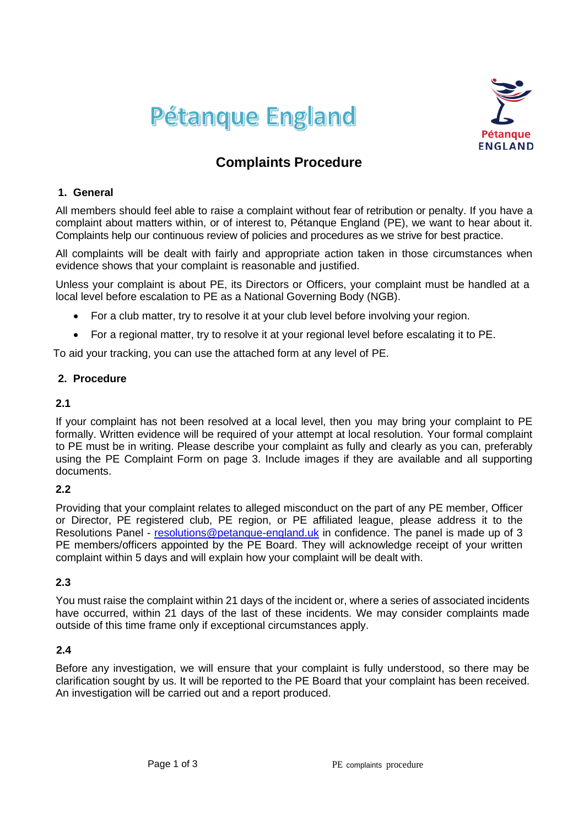



# **Complaints Procedure**

#### **1. General**

All members should feel able to raise a complaint without fear of retribution or penalty. If you have a complaint about matters within, or of interest to, Pétanque England (PE), we want to hear about it. Complaints help our continuous review of policies and procedures as we strive for best practice.

All complaints will be dealt with fairly and appropriate action taken in those circumstances when evidence shows that your complaint is reasonable and justified.

Unless your complaint is about PE, its Directors or Officers, your complaint must be handled at a local level before escalation to PE as a National Governing Body (NGB).

- For a club matter, try to resolve it at your club level before involving your region.
- For a regional matter, try to resolve it at your regional level before escalating it to PE.

To aid your tracking, you can use the attached form at any level of PE.

#### **2. Procedure**

#### **2.1**

If your complaint has not been resolved at a local level, then you may bring your complaint to PE formally. Written evidence will be required of your attempt at local resolution. Your formal complaint to PE must be in writing. Please describe your complaint as fully and clearly as you can, preferably using the PE Complaint Form on page 3. Include images if they are available and all supporting documents.

#### **2.2**

Providing that your complaint relates to alleged misconduct on the part of any PE member, Officer or Director, PE registered club, PE region, or PE affiliated league, please address it to the Resolutions Panel - [resolutions@petanque-england.uk](mailto:resolutions@petanque-england.uk) in confidence. The panel is made up of 3 PE members/officers appointed by the PE Board. They will acknowledge receipt of your written complaint within 5 days and will explain how your complaint will be dealt with.

### **2.3**

You must raise the complaint within 21 days of the incident or, where a series of associated incidents have occurred, within 21 days of the last of these incidents. We may consider complaints made outside of this time frame only if exceptional circumstances apply.

#### **2.4**

Before any investigation, we will ensure that your complaint is fully understood, so there may be clarification sought by us. It will be reported to the PE Board that your complaint has been received. An investigation will be carried out and a report produced.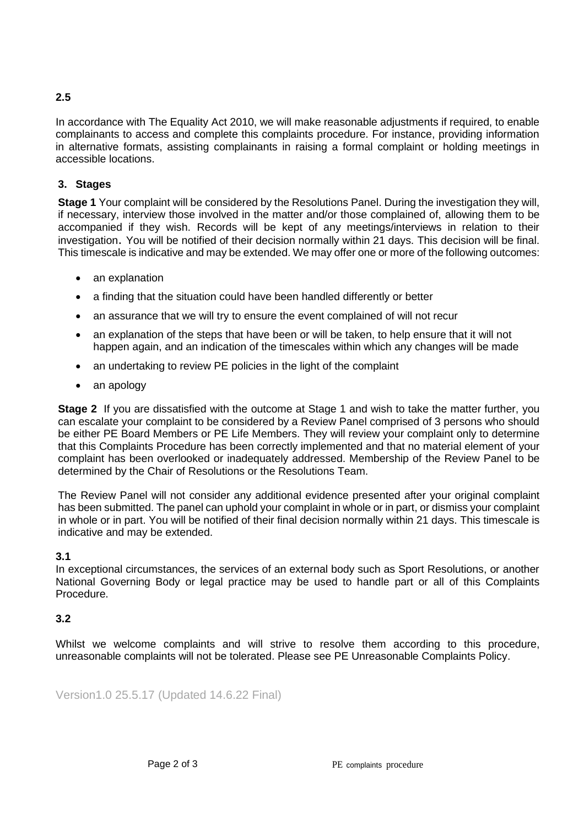## **2.5**

In accordance with The Equality Act 2010, we will make reasonable adjustments if required, to enable complainants to access and complete this complaints procedure. For instance, providing information in alternative formats, assisting complainants in raising a formal complaint or holding meetings in accessible locations.

#### **3. Stages**

**Stage 1** Your complaint will be considered by the Resolutions Panel. During the investigation they will, if necessary, interview those involved in the matter and/or those complained of, allowing them to be accompanied if they wish. Records will be kept of any meetings/interviews in relation to their investigation. You will be notified of their decision normally within 21 days. This decision will be final. This timescale is indicative and may be extended. We may offer one or more of the following outcomes:

- an explanation
- a finding that the situation could have been handled differently or better
- an assurance that we will try to ensure the event complained of will not recur
- an explanation of the steps that have been or will be taken, to help ensure that it will not happen again, and an indication of the timescales within which any changes will be made
- an undertaking to review PE policies in the light of the complaint
- an apology

**Stage 2** If you are dissatisfied with the outcome at Stage 1 and wish to take the matter further, you can escalate your complaint to be considered by a Review Panel comprised of 3 persons who should be either PE Board Members or PE Life Members. They will review your complaint only to determine that this Complaints Procedure has been correctly implemented and that no material element of your complaint has been overlooked or inadequately addressed. Membership of the Review Panel to be determined by the Chair of Resolutions or the Resolutions Team.

The Review Panel will not consider any additional evidence presented after your original complaint has been submitted. The panel can uphold your complaint in whole or in part, or dismiss your complaint in whole or in part. You will be notified of their final decision normally within 21 days. This timescale is indicative and may be extended.

# **3.1**

In exceptional circumstances, the services of an external body such as Sport Resolutions, or another National Governing Body or legal practice may be used to handle part or all of this Complaints Procedure.

#### **3.2**

Whilst we welcome complaints and will strive to resolve them according to this procedure, unreasonable complaints will not be tolerated. Please see PE Unreasonable Complaints Policy.

Version1.0 25.5.17 (Updated 14.6.22 Final)